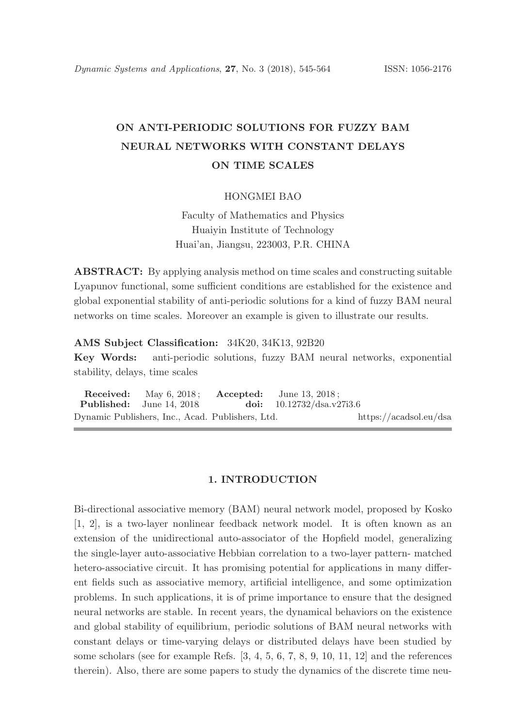# ON ANTI-PERIODIC SOLUTIONS FOR FUZZY BAM NEURAL NETWORKS WITH CONSTANT DELAYS ON TIME SCALES

### HONGMEI BAO

Faculty of Mathematics and Physics Huaiyin Institute of Technology Huai'an, Jiangsu, 223003, P.R. CHINA

ABSTRACT: By applying analysis method on time scales and constructing suitable Lyapunov functional, some sufficient conditions are established for the existence and global exponential stability of anti-periodic solutions for a kind of fuzzy BAM neural networks on time scales. Moreover an example is given to illustrate our results.

### AMS Subject Classification: 34K20, 34K13, 92B20

Key Words: anti-periodic solutions, fuzzy BAM neural networks, exponential stability, delays, time scales

Received: May 6, 2018; Accepted: June 13, 2018; Published: June 14, 2018. doi:  $10.12732/dsa.v27i3.6$ Dynamic Publishers, Inc., Acad. Publishers, Ltd. https://acadsol.eu/dsa

#### 1. INTRODUCTION

Bi-directional associative memory (BAM) neural network model, proposed by Kosko [1, 2], is a two-layer nonlinear feedback network model. It is often known as an extension of the unidirectional auto-associator of the Hopfield model, generalizing the single-layer auto-associative Hebbian correlation to a two-layer pattern- matched hetero-associative circuit. It has promising potential for applications in many different fields such as associative memory, artificial intelligence, and some optimization problems. In such applications, it is of prime importance to ensure that the designed neural networks are stable. In recent years, the dynamical behaviors on the existence and global stability of equilibrium, periodic solutions of BAM neural networks with constant delays or time-varying delays or distributed delays have been studied by some scholars (see for example Refs. [3, 4, 5, 6, 7, 8, 9, 10, 11, 12] and the references therein). Also, there are some papers to study the dynamics of the discrete time neu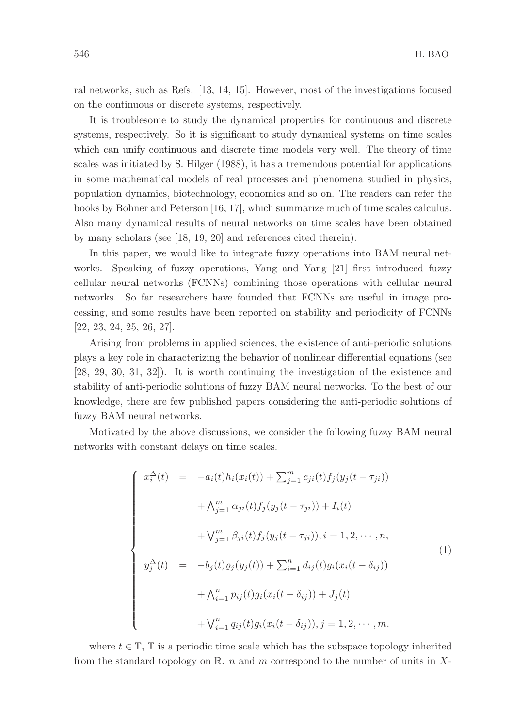ral networks, such as Refs. [13, 14, 15]. However, most of the investigations focused on the continuous or discrete systems, respectively.

It is troublesome to study the dynamical properties for continuous and discrete systems, respectively. So it is significant to study dynamical systems on time scales which can unify continuous and discrete time models very well. The theory of time scales was initiated by S. Hilger (1988), it has a tremendous potential for applications in some mathematical models of real processes and phenomena studied in physics, population dynamics, biotechnology, economics and so on. The readers can refer the books by Bohner and Peterson [16, 17], which summarize much of time scales calculus. Also many dynamical results of neural networks on time scales have been obtained by many scholars (see [18, 19, 20] and references cited therein).

In this paper, we would like to integrate fuzzy operations into BAM neural networks. Speaking of fuzzy operations, Yang and Yang [21] first introduced fuzzy cellular neural networks (FCNNs) combining those operations with cellular neural networks. So far researchers have founded that FCNNs are useful in image processing, and some results have been reported on stability and periodicity of FCNNs [22, 23, 24, 25, 26, 27].

Arising from problems in applied sciences, the existence of anti-periodic solutions plays a key role in characterizing the behavior of nonlinear differential equations (see [28, 29, 30, 31, 32]). It is worth continuing the investigation of the existence and stability of anti-periodic solutions of fuzzy BAM neural networks. To the best of our knowledge, there are few published papers considering the anti-periodic solutions of fuzzy BAM neural networks.

Motivated by the above discussions, we consider the following fuzzy BAM neural networks with constant delays on time scales.

$$
\begin{cases}\nx_i^{\Delta}(t) = -a_i(t)h_i(x_i(t)) + \sum_{j=1}^m c_{ji}(t)f_j(y_j(t-\tau_{ji})) \\
+ \Lambda_{j=1}^m \alpha_{ji}(t)f_j(y_j(t-\tau_{ji})) + I_i(t) \\
+ \nabla_{j=1}^m \beta_{ji}(t)f_j(y_j(t-\tau_{ji})), i = 1, 2, \cdots, n, \\
y_j^{\Delta}(t) = -b_j(t)\varrho_j(y_j(t)) + \sum_{i=1}^n d_{ij}(t)g_i(x_i(t-\delta_{ij})) \\
+ \Lambda_{i=1}^n p_{ij}(t)g_i(x_i(t-\delta_{ij})) + J_j(t) \\
+ \nabla_{i=1}^n q_{ij}(t)g_i(x_i(t-\delta_{ij})), j = 1, 2, \cdots, m.\n\end{cases}
$$
\n(1)

where  $t \in \mathbb{T}$ ,  $\mathbb{T}$  is a periodic time scale which has the subspace topology inherited from the standard topology on R. n and m correspond to the number of units in X-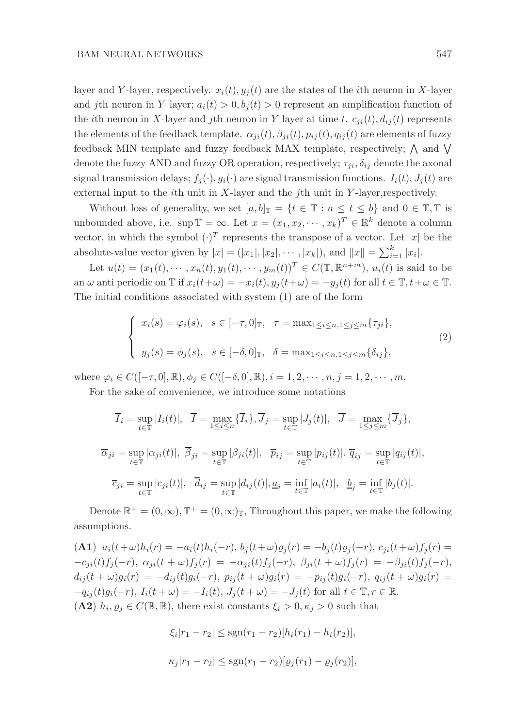layer and Y-layer, respectively.  $x_i(t)$ ,  $y_i(t)$  are the states of the *i*th neuron in X-layer and *j*th neuron in Y layer;  $a_i(t) > 0, b_j(t) > 0$  represent an amplification function of the *i*th neuron in X-layer and *j*th neuron in Y layer at time t.  $c_{ii}(t)$ ,  $d_{ij}(t)$  represents the elements of the feedback template.  $\alpha_{ji}(t), \beta_{ji}(t), p_{ij}(t), q_{ij}(t)$  are elements of fuzzy feedback MIN template and fuzzy feedback MAX template, respectively;  $\wedge$  and  $\vee$ denote the fuzzy AND and fuzzy OR operation, respectively;  $\tau_{ji}, \delta_{ij}$  denote the axonal signal transmission delays;  $f_i(\cdot), g_i(\cdot)$  are signal transmission functions.  $I_i(t), J_i(t)$  are external input to the *i*th unit in  $X$ -layer and the *j*th unit in  $Y$ -layer, respectively.

Without loss of generality, we set  $[a, b]_{\mathbb{T}} = \{t \in \mathbb{T} : a \le t \le b\}$  and  $0 \in \mathbb{T}, \mathbb{T}$  is unbounded above, i.e.  $\sup \mathbb{T} = \infty$ . Let  $x = (x_1, x_2, \dots, x_k)^T \in \mathbb{R}^k$  denote a column vector, in which the symbol  $(\cdot)^T$  represents the transpose of a vector. Let |x| be the absolute-value vector given by  $|x| = (|x_1|, |x_2|, \dots, |x_k|)$ , and  $||x|| = \sum_{i=1}^k |x_i|$ .

Let  $u(t) = (x_1(t), \dots, x_n(t), y_1(t), \dots, y_m(t))^T \in C(\mathbb{T}, \mathbb{R}^{n+m}), u_i(t)$  is said to be an  $\omega$  anti periodic on  $\mathbb T$  if  $x_i(t+\omega) = -x_i(t), y_i(t+\omega) = -y_i(t)$  for all  $t \in \mathbb T, t+\omega \in \mathbb T$ . The initial conditions associated with system (1) are of the form

$$
\begin{cases}\nx_i(s) = \varphi_i(s), \quad s \in [-\tau, 0]_{\mathbb{T}}, \quad \tau = \max_{1 \le i \le n, 1 \le j \le m} \{\tau_{ji}\}, \\
y_j(s) = \phi_j(s), \quad s \in [-\delta, 0]_{\mathbb{T}}, \quad \delta = \max_{1 \le i \le n, 1 \le j \le m} \{\delta_{ij}\},\n\end{cases} \tag{2}
$$

where  $\varphi_i \in C([-\tau,0], \mathbb{R}), \phi_j \in C([-\delta,0], \mathbb{R}), i = 1, 2, \cdots, n, j = 1, 2, \cdots, m.$ 

For the sake of convenience, we introduce some notations

$$
\overline{I}_i = \sup_{t \in \mathbb{T}} |I_i(t)|, \quad \overline{I} = \max_{1 \le i \le n} {\{\overline{I}_i\}}, \overline{J}_j = \sup_{t \in \mathbb{T}} |J_j(t)|, \quad \overline{J} = \max_{1 \le j \le m} {\{\overline{J}_j\}},
$$
  

$$
\overline{\alpha}_{ji} = \sup_{t \in \mathbb{T}} |\alpha_{ji}(t)|, \quad \overline{\beta}_{ji} = \sup_{t \in \mathbb{T}} |\beta_{ji}(t)|, \quad \overline{p}_{ij} = \sup_{t \in \mathbb{T}} |p_{ij}(t)|. \quad \overline{q}_{ij} = \sup_{t \in \mathbb{T}} |q_{ij}(t)|,
$$
  

$$
\overline{c}_{ji} = \sup_{t \in \mathbb{T}} |c_{ji}(t)|, \quad \overline{d}_{ij} = \sup_{t \in \mathbb{T}} |d_{ij}(t)|, \quad \underline{a}_i = \inf_{t \in \mathbb{T}} |a_i(t)|, \quad \underline{b}_j = \inf_{t \in \mathbb{T}} |b_j(t)|.
$$

Denote  $\mathbb{R}^+ = (0, \infty), \mathbb{T}^+ = (0, \infty)$ , Throughout this paper, we make the following assumptions.

(A1)  $a_i(t+\omega)h_i(r) = -a_i(t)h_i(-r), b_i(t+\omega)\rho_i(r) = -b_i(t)\rho_i(-r), c_{ii}(t+\omega)f_i(r) =$  $-c_{ji}(t) f_j(-r), \alpha_{ji}(t+\omega) f_j(r) = -\alpha_{ji}(t) f_j(-r), \beta_{ji}(t+\omega) f_j(r) = -\beta_{ji}(t) f_j(-r),$  $d_{ij}(t + \omega)g_i(r) = -d_{ij}(t)g_i(-r), p_{ij}(t + \omega)g_i(r) = -p_{ij}(t)g_i(-r), q_{ij}(t + \omega)g_i(r)$  $-q_{ij}(t)g_i(-r), I_i(t + \omega) = -I_i(t), J_j(t + \omega) = -J_j(t)$  for all  $t \in \mathbb{T}, r \in \mathbb{R}$ . (A2)  $h_i, \varrho_j \in C(\mathbb{R}, \mathbb{R})$ , there exist constants  $\xi_i > 0, \kappa_j > 0$  such that

$$
\xi_i |r_1 - r_2| \le \text{sgn}(r_1 - r_2)[h_i(r_1) - h_i(r_2)],
$$
  

$$
\kappa_j |r_1 - r_2| \le \text{sgn}(r_1 - r_2)[\varrho_j(r_1) - \varrho_j(r_2)],
$$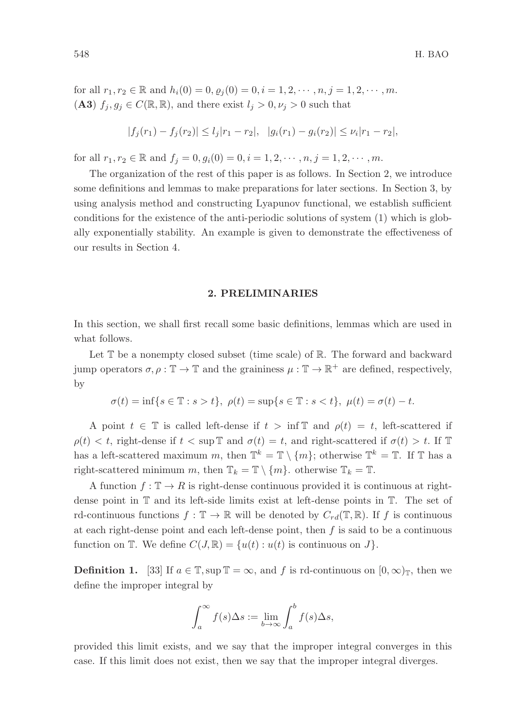for all  $r_1, r_2 \in \mathbb{R}$  and  $h_i(0) = 0, \varrho_i(0) = 0, i = 1, 2, \dots, n, j = 1, 2, \dots, m$ . (A3)  $f_j, g_j \in C(\mathbb{R}, \mathbb{R})$ , and there exist  $l_j > 0, \nu_j > 0$  such that

$$
|f_j(r_1) - f_j(r_2)| \le l_j |r_1 - r_2|, \quad |g_i(r_1) - g_i(r_2)| \le \nu_i |r_1 - r_2|,
$$

for all  $r_1, r_2 \in \mathbb{R}$  and  $f_j = 0, g_i(0) = 0, i = 1, 2, \dots, n, j = 1, 2, \dots, m$ .

The organization of the rest of this paper is as follows. In Section 2, we introduce some definitions and lemmas to make preparations for later sections. In Section 3, by using analysis method and constructing Lyapunov functional, we establish sufficient conditions for the existence of the anti-periodic solutions of system (1) which is globally exponentially stability. An example is given to demonstrate the effectiveness of our results in Section 4.

#### 2. PRELIMINARIES

In this section, we shall first recall some basic definitions, lemmas which are used in what follows.

Let  $\mathbb T$  be a nonempty closed subset (time scale) of  $\mathbb R$ . The forward and backward jump operators  $\sigma, \rho : \mathbb{T} \to \mathbb{T}$  and the graininess  $\mu : \mathbb{T} \to \mathbb{R}^+$  are defined, respectively, by

$$
\sigma(t) = \inf\{s \in \mathbb{T} : s > t\}, \ \rho(t) = \sup\{s \in \mathbb{T} : s < t\}, \ \mu(t) = \sigma(t) - t.
$$

A point  $t \in \mathbb{T}$  is called left-dense if  $t > \inf \mathbb{T}$  and  $\rho(t) = t$ , left-scattered if  $\rho(t) < t$ , right-dense if  $t < \sup \mathbb{T}$  and  $\sigma(t) = t$ , and right-scattered if  $\sigma(t) > t$ . If  $\mathbb{T}$ has a left-scattered maximum m, then  $\mathbb{T}^k = \mathbb{T} \setminus \{m\}$ ; otherwise  $\mathbb{T}^k = \mathbb{T}$ . If  $\mathbb{T}$  has a right-scattered minimum m, then  $\mathbb{T}_k = \mathbb{T} \setminus \{m\}$ . otherwise  $\mathbb{T}_k = \mathbb{T}$ .

A function  $f: \mathbb{T} \to R$  is right-dense continuous provided it is continuous at rightdense point in T and its left-side limits exist at left-dense points in T. The set of rd-continuous functions  $f : \mathbb{T} \to \mathbb{R}$  will be denoted by  $C_{rd}(\mathbb{T}, \mathbb{R})$ . If f is continuous at each right-dense point and each left-dense point, then  $f$  is said to be a continuous function on  $\mathbb T$ . We define  $C(J, \mathbb R) = \{u(t) : u(t)$  is continuous on  $J\}$ .

**Definition 1.** [33] If  $a \in \mathbb{T}$ , sup  $\mathbb{T} = \infty$ , and f is rd-continuous on  $[0, \infty)$ <sub>T</sub>, then we define the improper integral by

$$
\int_{a}^{\infty} f(s) \Delta s := \lim_{b \to \infty} \int_{a}^{b} f(s) \Delta s,
$$

provided this limit exists, and we say that the improper integral converges in this case. If this limit does not exist, then we say that the improper integral diverges.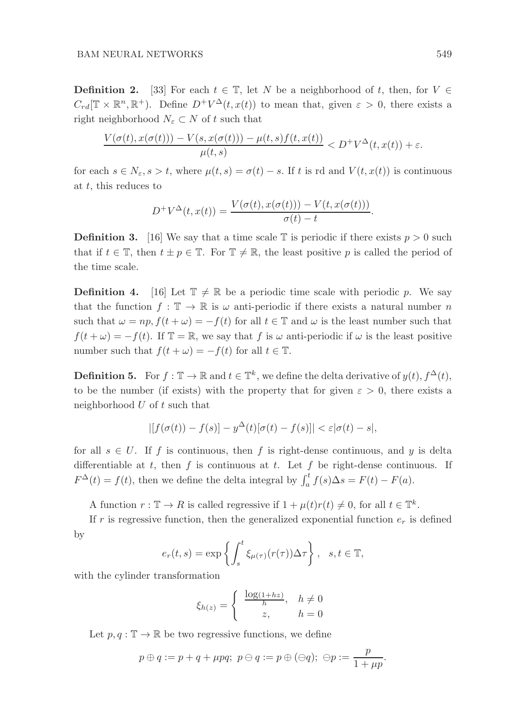**Definition 2.** [33] For each  $t \in \mathbb{T}$ , let N be a neighborhood of t, then, for  $V \in$  $C_{rd}[\mathbb{T} \times \mathbb{R}^n, \mathbb{R}^+)$ . Define  $D^+V^{\Delta}(t, x(t))$  to mean that, given  $\varepsilon > 0$ , there exists a right neighborhood  $N_{\varepsilon} \subset N$  of t such that

$$
\frac{V(\sigma(t), x(\sigma(t)))-V(s, x(\sigma(t)))-\mu(t, s)f(t, x(t))}{\mu(t, s)} < D^{+}V^{\Delta}(t, x(t)) + \varepsilon.
$$

for each  $s \in N_{\varepsilon}$ ,  $s > t$ , where  $\mu(t, s) = \sigma(t) - s$ . If t is rd and  $V(t, x(t))$  is continuous at t, this reduces to

$$
D^{+}V^{\Delta}(t, x(t)) = \frac{V(\sigma(t), x(\sigma(t))) - V(t, x(\sigma(t)))}{\sigma(t) - t}.
$$

**Definition 3.** [16] We say that a time scale T is periodic if there exists  $p > 0$  such that if  $t \in \mathbb{T}$ , then  $t \pm p \in \mathbb{T}$ . For  $\mathbb{T} \neq \mathbb{R}$ , the least positive p is called the period of the time scale.

**Definition 4.** [16] Let  $\mathbb{T} \neq \mathbb{R}$  be a periodic time scale with periodic p. We say that the function  $f : \mathbb{T} \to \mathbb{R}$  is  $\omega$  anti-periodic if there exists a natural number n such that  $\omega = np$ ,  $f(t + \omega) = -f(t)$  for all  $t \in \mathbb{T}$  and  $\omega$  is the least number such that  $f(t + \omega) = -f(t)$ . If  $\mathbb{T} = \mathbb{R}$ , we say that f is  $\omega$  anti-periodic if  $\omega$  is the least positive number such that  $f(t + \omega) = -f(t)$  for all  $t \in \mathbb{T}$ .

**Definition 5.** For  $f : \mathbb{T} \to \mathbb{R}$  and  $t \in \mathbb{T}^k$ , we define the delta derivative of  $y(t)$ ,  $f^{\Delta}(t)$ , to be the number (if exists) with the property that for given  $\varepsilon > 0$ , there exists a neighborhood  $U$  of  $t$  such that

$$
| [f(\sigma(t)) - f(s)] - y^{\Delta}(t) [\sigma(t) - f(s)] | < \varepsilon |\sigma(t) - s|,
$$

for all  $s \in U$ . If f is continuous, then f is right-dense continuous, and y is delta differentiable at t, then f is continuous at t. Let f be right-dense continuous. If  $F^{\Delta}(t) = f(t)$ , then we define the delta integral by  $\int_a^t f(s) \Delta s = F(t) - F(a)$ .

A function  $r : \mathbb{T} \to R$  is called regressive if  $1 + \mu(t)r(t) \neq 0$ , for all  $t \in \mathbb{T}^k$ .

If r is regressive function, then the generalized exponential function  $e_r$  is defined by

$$
e_r(t,s) = \exp\left\{ \int_s^t \xi_{\mu(\tau)}(r(\tau)) \Delta \tau \right\}, \quad s, t \in \mathbb{T},
$$

with the cylinder transformation

$$
\xi_{h(z)} = \begin{cases} \frac{\log(1 + hz)}{h}, & h \neq 0 \\ z, & h = 0 \end{cases}
$$

Let  $p, q : \mathbb{T} \to \mathbb{R}$  be two regressive functions, we define

$$
p \oplus q := p + q + \mu pq; \ p \ominus q := p \oplus (\ominus q); \ \ominus p := \frac{p}{1 + \mu p}.
$$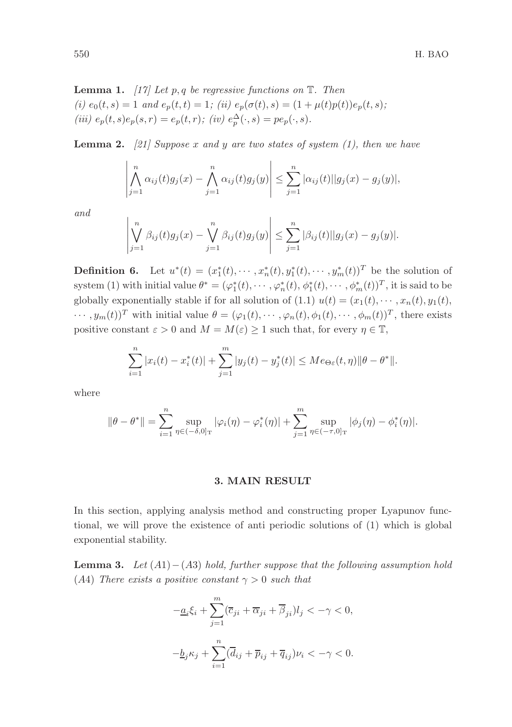Lemma 1. *[17] Let* p, q *be regressive functions on* T*. Then (i)*  $e_0(t, s) = 1$  *and*  $e_p(t, t) = 1$ ; *(ii)*  $e_p(\sigma(t), s) = (1 + \mu(t)p(t))e_p(t, s)$ ; (*iii*)  $e_p(t, s)e_p(s, r) = e_p(t, r);$  (*iv*)  $e_p^{\Delta}(\cdot, s) = pe_p(\cdot, s)$ .

Lemma 2. *[21] Suppose* x *and* y *are two states of system (1), then we have*

$$
\left|\bigwedge_{j=1}^n \alpha_{ij}(t)g_j(x) - \bigwedge_{j=1}^n \alpha_{ij}(t)g_j(y)\right| \leq \sum_{j=1}^n |\alpha_{ij}(t)||g_j(x) - g_j(y)|,
$$

*and*

$$
\left| \bigvee_{j=1}^{n} \beta_{ij}(t) g_j(x) - \bigvee_{j=1}^{n} \beta_{ij}(t) g_j(y) \right| \leq \sum_{j=1}^{n} |\beta_{ij}(t)| |g_j(x) - g_j(y)|.
$$

**Definition 6.** Let  $u^*(t) = (x_1^*(t), \dots, x_n^*(t), y_1^*(t), \dots, y_m^*(t))^T$  be the solution of system (1) with initial value  $\theta^* = (\varphi_1^*(t), \cdots, \varphi_n^*(t), \phi_1^*(t), \cdots, \phi_m^*(t))^T$ , it is said to be globally exponentially stable if for all solution of (1.1)  $u(t) = (x_1(t), \dots, x_n(t), y_1(t))$ ,  $\cdots$ ,  $y_m(t)$ <sup>T</sup> with initial value  $\theta = (\varphi_1(t), \cdots, \varphi_n(t), \phi_1(t), \cdots, \phi_m(t))$ <sup>T</sup>, there exists positive constant  $\varepsilon > 0$  and  $M = M(\varepsilon) \ge 1$  such that, for every  $\eta \in \mathbb{T}$ ,

$$
\sum_{i=1}^{n} |x_i(t) - x_i^*(t)| + \sum_{j=1}^{m} |y_j(t) - y_j^*(t)| \le Me_{\Theta \varepsilon}(t, \eta) \|\theta - \theta^*\|.
$$

where

$$
\|\theta - \theta^*\| = \sum_{i=1}^n \sup_{\eta \in (-\delta,0]_T} |\varphi_i(\eta) - \varphi_i^*(\eta)| + \sum_{j=1}^m \sup_{\eta \in (-\tau,0]_T} |\phi_j(\eta) - \phi_i^*(\eta)|.
$$

### 3. MAIN RESULT

In this section, applying analysis method and constructing proper Lyapunov functional, we will prove the existence of anti periodic solutions of (1) which is global exponential stability.

Lemma 3. *Let* (A1)−(A3) *hold, further suppose that the following assumption hold* (A4) *There exists a positive constant*  $\gamma > 0$  *such that* 

$$
-\underline{a}_{i}\xi_{i} + \sum_{j=1}^{m} (\overline{c}_{ji} + \overline{\alpha}_{ji} + \overline{\beta}_{ji})l_{j} < -\gamma < 0,
$$
  

$$
-\underline{b}_{j}\kappa_{j} + \sum_{i=1}^{n} (\overline{d}_{ij} + \overline{p}_{ij} + \overline{q}_{ij})\nu_{i} < -\gamma < 0.
$$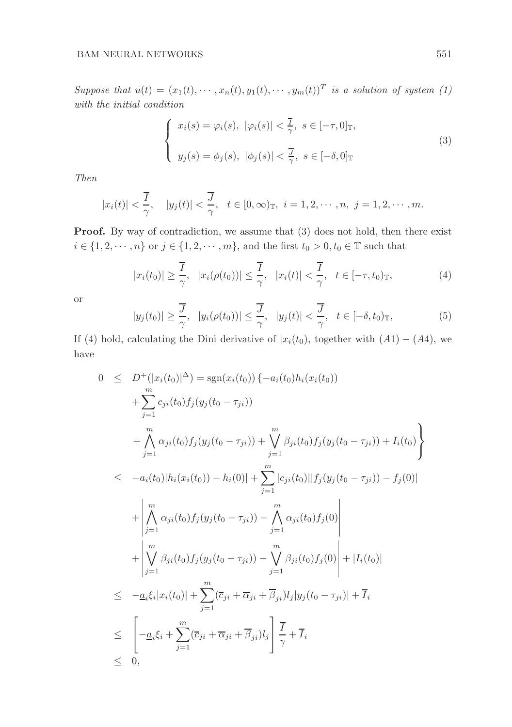*Suppose that*  $u(t) = (x_1(t), \dots, x_n(t), y_1(t), \dots, y_m(t))^T$  *is a solution of system* (1) *with the initial condition*

$$
\begin{cases}\nx_i(s) = \varphi_i(s), \ |\varphi_i(s)| < \frac{7}{\gamma}, \ s \in [-\tau, 0]_{\mathbb{T}}, \\
y_j(s) = \phi_j(s), \ |\phi_j(s)| < \frac{7}{\gamma}, \ s \in [-\delta, 0]_{\mathbb{T}}\n\end{cases} \tag{3}
$$

*Then*

$$
|x_i(t)| < \frac{\overline{I}}{\gamma}, \quad |y_j(t)| < \frac{\overline{J}}{\gamma}, \quad t \in [0, \infty)_{\mathbb{T}}, \quad i = 1, 2, \cdots, n, \quad j = 1, 2, \cdots, m.
$$

Proof. By way of contradiction, we assume that  $(3)$  does not hold, then there exist  $i \in \{1, 2, \dots, n\}$  or  $j \in \{1, 2, \dots, m\}$ , and the first  $t_0 > 0, t_0 \in \mathbb{T}$  such that

$$
|x_i(t_0)| \geq \frac{\overline{I}}{\gamma}, \quad |x_i(\rho(t_0))| \leq \frac{\overline{I}}{\gamma}, \quad |x_i(t)| < \frac{\overline{I}}{\gamma}, \quad t \in [-\tau, t_0)_{\mathbb{T}}, \tag{4}
$$

or

$$
|y_j(t_0)| \ge \frac{\overline{J}}{\gamma}, \quad |y_i(\rho(t_0))| \le \frac{\overline{J}}{\gamma}, \quad |y_j(t)| < \frac{\overline{J}}{\gamma}, \quad t \in [-\delta, t_0)_{\mathbb{T}}, \tag{5}
$$

If (4) hold, calculating the Dini derivative of  $|x_i(t_0)$ , together with  $(A1) - (A4)$ , we have

$$
0 \leq D^{+}(|x_{i}(t_{0})|^{\Delta}) = \text{sgn}(x_{i}(t_{0})) \{-a_{i}(t_{0})h_{i}(x_{i}(t_{0}))
$$
  
+ 
$$
\sum_{j=1}^{m} c_{ji}(t_{0})f_{j}(y_{j}(t_{0} - \tau_{ji}))
$$
  
+ 
$$
\bigwedge_{j=1}^{m} \alpha_{ji}(t_{0})f_{j}(y_{j}(t_{0} - \tau_{ji})) + \bigvee_{j=1}^{m} \beta_{ji}(t_{0})f_{j}(y_{j}(t_{0} - \tau_{ji})) + I_{i}(t_{0}) \}
$$
  

$$
\leq -a_{i}(t_{0})|h_{i}(x_{i}(t_{0})) - h_{i}(0)| + \sum_{j=1}^{m} |c_{ji}(t_{0})||f_{j}(y_{j}(t_{0} - \tau_{ji})) - f_{j}(0)|
$$
  
+ 
$$
\bigwedge_{j=1}^{m} \alpha_{ji}(t_{0})f_{j}(y_{j}(t_{0} - \tau_{ji})) - \bigwedge_{j=1}^{m} \alpha_{ji}(t_{0})f_{j}(0) \bigg|
$$
  
+ 
$$
\bigvee_{j=1}^{m} \beta_{ji}(t_{0})f_{j}(y_{j}(t_{0} - \tau_{ji})) - \bigvee_{j=1}^{m} \beta_{ji}(t_{0})f_{j}(0) \bigg| + |I_{i}(t_{0})|
$$
  

$$
\leq -\underline{a}_{i}\xi_{i}|x_{i}(t_{0})| + \sum_{j=1}^{m} (\overline{c}_{ji} + \overline{\alpha}_{ji} + \overline{\beta}_{ji})l_{j}|y_{j}(t_{0} - \tau_{ji})| + \overline{I}_{i}
$$
  

$$
\leq \bigg[-\underline{a}_{i}\xi_{i} + \sum_{j=1}^{m} (\overline{c}_{ji} + \overline{\alpha}_{ji} + \overline{\beta}_{ji})l_{j}\bigg]\frac{\overline{I}}{\gamma} + \overline{I}_{i}
$$
  

$$
\leq 0,
$$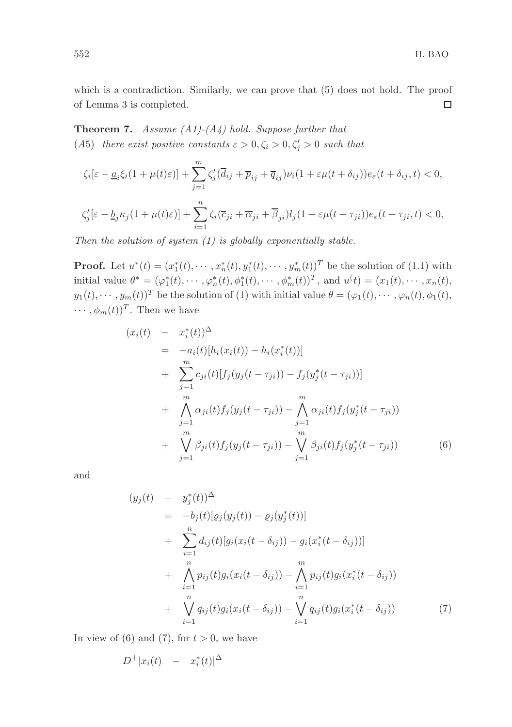which is a contradiction. Similarly, we can prove that (5) does not hold. The proof of Lemma 3 is completed.  $\Box$ 

Theorem 7. *Assume (A1)-(A4) hold. Suppose further that* (A5) there exist positive constants  $\varepsilon > 0, \zeta_i > 0, \zeta'_j > 0$  such that

$$
\zeta_i[\varepsilon - \underline{a}_i \xi_i(1 + \mu(t)\varepsilon)] + \sum_{j=1}^m \zeta_j'(\overline{d}_{ij} + \overline{p}_{ij} + \overline{q}_{ij})\nu_i(1 + \varepsilon\mu(t + \delta_{ij}))e_{\varepsilon}(t + \delta_{ij}, t) < 0,
$$
  

$$
\zeta_j'[\varepsilon - \underline{b}_j \kappa_j(1 + \mu(t)\varepsilon)] + \sum_{i=1}^n \zeta_i(\overline{c}_{ji} + \overline{\alpha}_{ji} + \overline{\beta}_{ji})l_j(1 + \varepsilon\mu(t + \tau_{ji}))e_{\varepsilon}(t + \tau_{ji}, t) < 0,
$$

*Then the solution of system (1) is globally exponentially stable.*

**Proof.** Let  $u^*(t) = (x_1^*(t), \dots, x_n^*(t), y_1^*(t), \dots, y_m^*(t))^T$  be the solution of (1.1) with initial value  $\theta^* = (\varphi_1^*(t), \cdots, \varphi_n^*(t), \phi_1^*(t), \cdots, \phi_m^*(t))^T$ , and  $u^*(t) = (x_1(t), \cdots, x_n(t),$  $y_1(t), \dots, y_m(t))^T$  be the solution of (1) with initial value  $\theta = (\varphi_1(t), \dots, \varphi_n(t), \phi_1(t))$  $\cdots$ ,  $\phi_m(t)$ <sup>T</sup>. Then we have

$$
(x_i(t) - x_i^*(t))^{\Delta}
$$
  
\n
$$
= -a_i(t)[h_i(x_i(t)) - h_i(x_i^*(t))]
$$
  
\n
$$
+ \sum_{j=1}^m c_{ji}(t)[f_j(y_j(t - \tau_{ji})) - f_j(y_j^*(t - \tau_{ji}))]
$$
  
\n
$$
+ \bigwedge_{j=1}^m \alpha_{ji}(t)f_j(y_j(t - \tau_{ji})) - \bigwedge_{j=1}^m \alpha_{ji}(t)f_j(y_j^*(t - \tau_{ji}))
$$
  
\n
$$
+ \bigvee_{j=1}^m \beta_{ji}(t)f_j(y_j(t - \tau_{ji})) - \bigvee_{j=1}^m \beta_{ji}(t)f_j(y_j^*(t - \tau_{ji}))
$$
(6)

and

$$
(y_j(t) - y_j^*(t))^{\Delta}
$$
  
\n
$$
= -b_j(t)[\varrho_j(y_j(t)) - \varrho_j(y_j^*(t))]
$$
  
\n
$$
+ \sum_{i=1}^n d_{ij}(t)[g_i(x_i(t - \delta_{ij})) - g_i(x_i^*(t - \delta_{ij}))]
$$
  
\n
$$
+ \bigwedge_{i=1}^n p_{ij}(t)g_i(x_i(t - \delta_{ij})) - \bigwedge_{i=1}^m p_{ij}(t)g_i(x_i^*(t - \delta_{ij}))
$$
  
\n
$$
+ \bigvee_{i=1}^n q_{ij}(t)g_i(x_i(t - \delta_{ij})) - \bigvee_{i=1}^n q_{ij}(t)g_i(x_i^*(t - \delta_{ij}))
$$
\n(7)

In view of (6) and (7), for  $t > 0$ , we have

$$
D^+|x_i(t) - x_i^*(t)|^{\Delta}
$$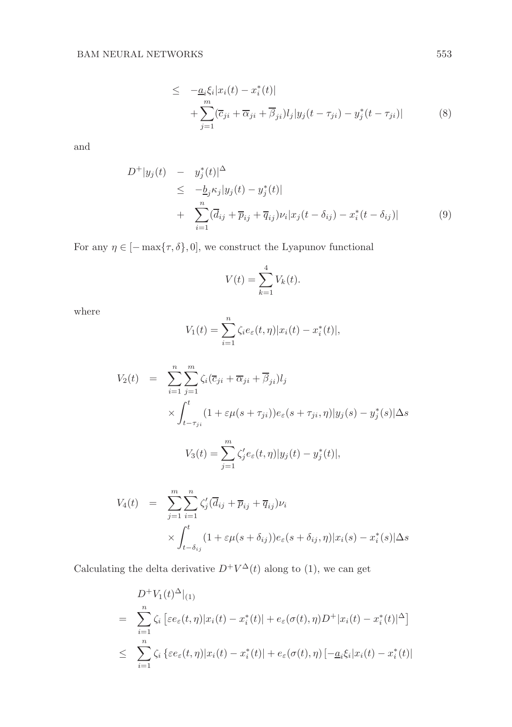$$
\leq -\underline{a}_{i}\xi_{i}|x_{i}(t)-x_{i}^{*}(t)|
$$
  
+
$$
\sum_{j=1}^{m}(\overline{c}_{ji}+\overline{\alpha}_{ji}+\overline{\beta}_{ji})l_{j}|y_{j}(t-\tau_{ji})-y_{j}^{*}(t-\tau_{ji})|
$$
(8)

and

$$
D^{+}|y_{j}(t) - y_{j}^{*}(t)|^{\Delta} \leq -\underline{b}_{j}\kappa_{j}|y_{j}(t) - y_{j}^{*}(t)| + \sum_{i=1}^{n} (\overline{d}_{ij} + \overline{p}_{ij} + \overline{q}_{ij})\nu_{i}|x_{j}(t - \delta_{ij}) - x_{i}^{*}(t - \delta_{ij})| \qquad (9)
$$

For any  $\eta \in [-\max\{\tau, \delta\}, 0],$  we construct the Lyapunov functional

$$
V(t) = \sum_{k=1}^{4} V_k(t).
$$

where

$$
V_1(t) = \sum_{i=1}^{n} \zeta_i e_{\varepsilon}(t, \eta) |x_i(t) - x_i^*(t)|,
$$

$$
V_2(t) = \sum_{i=1}^n \sum_{j=1}^m \zeta_i (\overline{c}_{ji} + \overline{\alpha}_{ji} + \overline{\beta}_{ji}) l_j
$$
  
 
$$
\times \int_{t-\tau_{ji}}^t (1 + \varepsilon \mu(s + \tau_{ji})) e_{\varepsilon}(s + \tau_{ji}, \eta) |y_j(s) - y_j^*(s)| \Delta s
$$
  

$$
V_3(t) = \sum_{j=1}^m \zeta_j' e_{\varepsilon}(t, \eta) |y_j(t) - y_j^*(t)|,
$$

$$
V_4(t) = \sum_{j=1}^m \sum_{i=1}^n \zeta'_j (\overline{d}_{ij} + \overline{p}_{ij} + \overline{q}_{ij}) \nu_i
$$
  
 
$$
\times \int_{t-\delta_{ij}}^t (1 + \varepsilon \mu(s + \delta_{ij})) e_{\varepsilon}(s + \delta_{ij}, \eta) |x_i(s) - x_i^*(s)| \Delta s
$$

Calculating the delta derivative  $D^+V^{\Delta}(t)$  along to (1), we can get

$$
D^{+}V_{1}(t)^{\Delta}|_{(1)}
$$
\n
$$
= \sum_{i=1}^{n} \zeta_{i} \left[ \varepsilon e_{\varepsilon}(t,\eta)|x_{i}(t) - x_{i}^{*}(t)| + e_{\varepsilon}(\sigma(t),\eta)D^{+}|x_{i}(t) - x_{i}^{*}(t)|^{\Delta} \right]
$$
\n
$$
\leq \sum_{i=1}^{n} \zeta_{i} \left\{ \varepsilon e_{\varepsilon}(t,\eta)|x_{i}(t) - x_{i}^{*}(t)| + e_{\varepsilon}(\sigma(t),\eta) \left[ -\underline{a}_{i}\xi_{i}|x_{i}(t) - x_{i}^{*}(t)| \right] \right\}
$$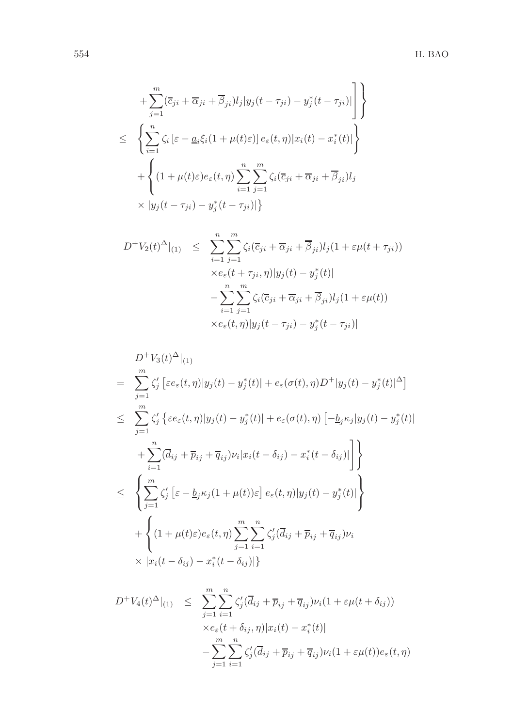$$
\begin{aligned}\n&+ \sum_{j=1}^{m} (\overline{c}_{ji} + \overline{\alpha}_{ji} + \overline{\beta}_{ji}) l_j |y_j(t - \tau_{ji}) - y_j^*(t - \tau_{ji})|\n\end{aligned}\n\Bigg\} \leq\n\begin{aligned}\n&\left\{ \sum_{i=1}^{n} \zeta_i \left[ \varepsilon - \underline{a}_i \xi_i (1 + \mu(t)\varepsilon) \right] e_\varepsilon(t, \eta) |x_i(t) - x_i^*(t)| \right\} \\
&+ \left\{ (1 + \mu(t)\varepsilon) e_\varepsilon(t, \eta) \sum_{i=1}^{n} \sum_{j=1}^{m} \zeta_i (\overline{c}_{ji} + \overline{\alpha}_{ji} + \overline{\beta}_{ji}) l_j \\
&\times |y_j(t - \tau_{ji}) - y_j^*(t - \tau_{ji})| \right\}\n\end{aligned}
$$

$$
D^{+}V_{2}(t)^{\Delta}|_{(1)} \leq \sum_{i=1}^{n} \sum_{j=1}^{m} \zeta_{i}(\overline{c}_{ji} + \overline{\alpha}_{ji} + \overline{\beta}_{ji})l_{j}(1 + \varepsilon\mu(t + \tau_{ji}))
$$
  

$$
\times e_{\varepsilon}(t + \tau_{ji}, \eta)|y_{j}(t) - y_{j}^{*}(t)|
$$
  

$$
- \sum_{i=1}^{n} \sum_{j=1}^{m} \zeta_{i}(\overline{c}_{ji} + \overline{\alpha}_{ji} + \overline{\beta}_{ji})l_{j}(1 + \varepsilon\mu(t))
$$
  

$$
\times e_{\varepsilon}(t, \eta)|y_{j}(t - \tau_{ji}) - y_{j}^{*}(t - \tau_{ji})|
$$

$$
D^{+}V_{3}(t)^{\Delta}|_{(1)}
$$
\n
$$
= \sum_{j=1}^{m} \zeta_{j}^{\prime} \left[ \varepsilon e_{\varepsilon}(t,\eta)|y_{j}(t) - y_{j}^{*}(t)| + e_{\varepsilon}(\sigma(t),\eta)D^{+}|y_{j}(t) - y_{j}^{*}(t)|^{\Delta} \right]
$$
\n
$$
\leq \sum_{j=1}^{m} \zeta_{j}^{\prime} \left\{ \varepsilon e_{\varepsilon}(t,\eta)|y_{j}(t) - y_{j}^{*}(t)| + e_{\varepsilon}(\sigma(t),\eta) \left[ -\underline{b}_{j}\kappa_{j}|y_{j}(t) - y_{j}^{*}(t)| \right. \right.
$$
\n
$$
+ \sum_{i=1}^{n} (\overline{d}_{ij} + \overline{p}_{ij} + \overline{q}_{ij})\nu_{i}|x_{i}(t - \delta_{ij}) - x_{i}^{*}(t - \delta_{ij})| \right] \Bigg\}
$$
\n
$$
\leq \left\{ \sum_{j=1}^{m} \zeta_{j}^{\prime} \left[ \varepsilon - \underline{b}_{j}\kappa_{j}(1 + \mu(t))\varepsilon \right] e_{\varepsilon}(t,\eta)|y_{j}(t) - y_{j}^{*}(t)| \right\}
$$
\n
$$
+ \left\{ (1 + \mu(t)\varepsilon)e_{\varepsilon}(t,\eta) \sum_{j=1}^{m} \sum_{i=1}^{n} \zeta_{j}^{\prime} (\overline{d}_{ij} + \overline{p}_{ij} + \overline{q}_{ij})\nu_{i} \times |x_{i}(t - \delta_{ij}) - x_{i}^{*}(t - \delta_{ij})| \right\}
$$

$$
D^{+}V_{4}(t)^{\Delta}|_{(1)} \leq \sum_{j=1}^{m} \sum_{i=1}^{n} \zeta_{j}'(\overline{d}_{ij} + \overline{p}_{ij} + \overline{q}_{ij})\nu_{i}(1 + \varepsilon\mu(t + \delta_{ij}))
$$
  

$$
\times e_{\varepsilon}(t + \delta_{ij}, \eta)|x_{i}(t) - x_{i}^{*}(t)|
$$
  

$$
-\sum_{j=1}^{m} \sum_{i=1}^{n} \zeta_{j}'(\overline{d}_{ij} + \overline{p}_{ij} + \overline{q}_{ij})\nu_{i}(1 + \varepsilon\mu(t))e_{\varepsilon}(t, \eta)
$$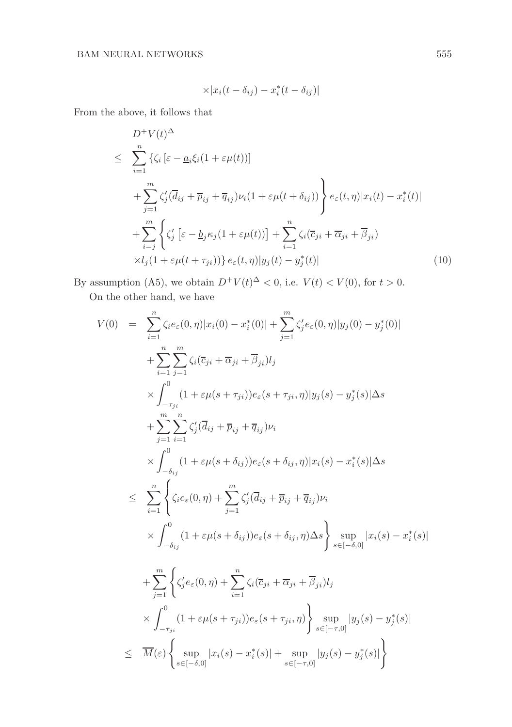$$
\times |x_i(t-\delta_{ij})-x_i^*(t-\delta_{ij})|
$$

From the above, it follows that

$$
\sum_{i=1}^{n} \left\{ \zeta_i \left[ \varepsilon - \underline{a}_i \xi_i (1 + \varepsilon \mu(t)) \right] \right\}
$$
\n
$$
\leq \sum_{i=1}^{n} \left\{ \zeta_i \left[ \varepsilon - \underline{a}_i \xi_i (1 + \varepsilon \mu(t)) \right] \right\}
$$
\n
$$
+ \sum_{j=1}^{m} \zeta_j' (\overline{d}_{ij} + \overline{p}_{ij} + \overline{q}_{ij}) \nu_i (1 + \varepsilon \mu(t + \delta_{ij})) \right\} e_{\varepsilon}(t, \eta) |x_i(t) - x_i^*(t)|
$$
\n
$$
+ \sum_{i=j}^{m} \left\{ \zeta_j' \left[ \varepsilon - \underline{b}_j \kappa_j (1 + \varepsilon \mu(t)) \right] + \sum_{i=1}^{n} \zeta_i (\overline{c}_{ji} + \overline{\alpha}_{ji} + \overline{\beta}_{ji})
$$
\n
$$
\times l_j (1 + \varepsilon \mu(t + \tau_{ji})) \right\} e_{\varepsilon}(t, \eta) |y_j(t) - y_j^*(t)| \tag{10}
$$

By assumption (A5), we obtain  $D^+V(t)^{\Delta} < 0$ , i.e.  $V(t) < V(0)$ , for  $t > 0$ .

On the other hand, we have

$$
V(0) = \sum_{i=1}^{n} \zeta_{i} e_{\varepsilon}(0, \eta) |x_{i}(0) - x_{i}^{*}(0)| + \sum_{j=1}^{m} \zeta_{j}^{\prime} e_{\varepsilon}(0, \eta) |y_{j}(0) - y_{j}^{*}(0)|
$$
  
+ 
$$
\sum_{i=1}^{n} \sum_{j=1}^{m} \zeta_{i} (\overline{c}_{ji} + \overline{\alpha}_{ji} + \overline{\beta}_{ji}) l_{j}
$$
  
 
$$
\times \int_{-\tau_{ji}}^{0} (1 + \varepsilon \mu(s + \tau_{ji})) e_{\varepsilon}(s + \tau_{ji}, \eta) |y_{j}(s) - y_{j}^{*}(s)| \Delta s
$$
  
+ 
$$
\sum_{j=1}^{m} \sum_{i=1}^{n} \zeta_{j}^{\prime} (\overline{d}_{ij} + \overline{p}_{ij} + \overline{q}_{ij}) \nu_{i}
$$
  
 
$$
\times \int_{-\delta_{ij}}^{0} (1 + \varepsilon \mu(s + \delta_{ij})) e_{\varepsilon}(s + \delta_{ij}, \eta) |x_{i}(s) - x_{i}^{*}(s)| \Delta s
$$
  

$$
\leq \sum_{i=1}^{n} \left\{ \zeta_{i} e_{\varepsilon}(0, \eta) + \sum_{j=1}^{m} \zeta_{j}^{\prime} (\overline{d}_{ij} + \overline{p}_{ij} + \overline{q}_{ij}) \nu_{i}
$$
  
 
$$
\times \int_{-\delta_{ij}}^{0} (1 + \varepsilon \mu(s + \delta_{ij})) e_{\varepsilon}(s + \delta_{ij}, \eta) \Delta s \right\} \sup_{s \in [-\delta, 0]} |x_{i}(s) - x_{i}^{*}(s)|
$$
  
+ 
$$
\sum_{j=1}^{m} \left\{ \zeta_{j}^{\prime} e_{\varepsilon}(0, \eta) + \sum_{i=1}^{n} \zeta_{i}(\overline{c}_{ji} + \overline{\alpha}_{ji} + \overline{\beta}_{ji}) l_{j}
$$
  
 
$$
\times \int_{-\tau_{ji}}^{0} (1 + \varepsilon \mu(s + \tau_{ji})) e_{\varepsilon}(s + \tau_{ji}, \eta) \right\} \sup_{s \in [-\tau, 0]} |y_{j}(s) - y_{j}^{*}(s)|
$$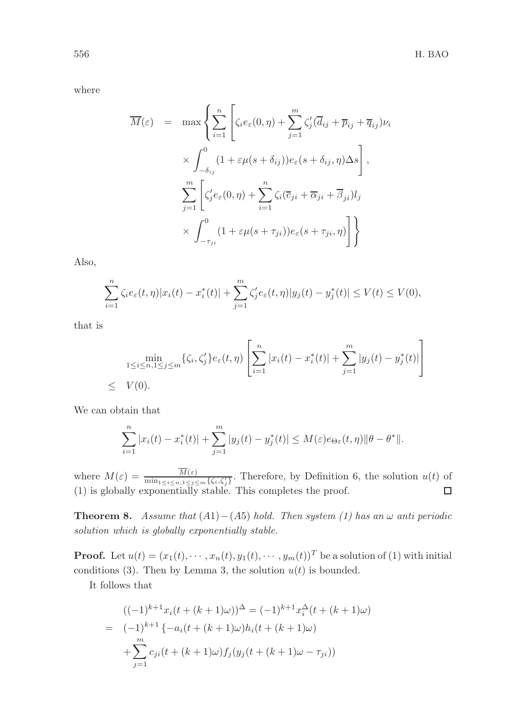where

$$
\overline{M}(\varepsilon) = \max \left\{ \sum_{i=1}^{n} \left[ \zeta_i e_{\varepsilon}(0, \eta) + \sum_{j=1}^{m} \zeta_j' (\overline{d}_{ij} + \overline{p}_{ij} + \overline{q}_{ij}) \nu_i \right] \times \int_{-\delta_{ij}}^{0} (1 + \varepsilon \mu(s + \delta_{ij})) e_{\varepsilon}(s + \delta_{ij}, \eta) \Delta s \right],
$$
\n
$$
\sum_{j=1}^{m} \left[ \zeta_j' e_{\varepsilon}(0, \eta) + \sum_{i=1}^{n} \zeta_i (\overline{c}_{ji} + \overline{\alpha}_{ji} + \overline{\beta}_{ji}) l_j \right] \times \int_{-\tau_{ji}}^{0} (1 + \varepsilon \mu(s + \tau_{ji})) e_{\varepsilon}(s + \tau_{ji}, \eta) \right] \right\}
$$

Also,

$$
\sum_{i=1}^{n} \zeta_i e_{\varepsilon}(t, \eta) |x_i(t) - x_i^*(t)| + \sum_{j=1}^{m} \zeta_j' e_{\varepsilon}(t, \eta) |y_j(t) - y_j^*(t)| \le V(t) \le V(0),
$$

that is

$$
\min_{1 \le i \le n, 1 \le j \le m} \{ \zeta_i, \zeta_j' \} e_{\varepsilon}(t, \eta) \left[ \sum_{i=1}^n |x_i(t) - x_i^*(t)| + \sum_{j=1}^m |y_j(t) - y_j^*(t)| \right]
$$
\n
$$
\leq V(0).
$$

We can obtain that

$$
\sum_{i=1}^{n} |x_i(t) - x_i^*(t)| + \sum_{j=1}^{m} |y_j(t) - y_j^*(t)| \le M(\varepsilon) e_{\Theta \varepsilon}(t, \eta) \|\theta - \theta^*\|.
$$

where  $M(\varepsilon) = \frac{M(\varepsilon)}{\min_{1 \leq i \leq n, 1 \leq j \leq m} \{\zeta_i, \zeta'_j\}}$ . Therefore, by Definition 6, the solution  $u(t)$  of (1) is globally exponentially stable. This completes the proof.

Theorem 8. *Assume that*  $(A1) - (A5)$  *hold. Then system*  $(I)$  *has an* ω *anti periodic solution which is globally exponentially stable.*

**Proof.** Let  $u(t) = (x_1(t), \dots, x_n(t), y_1(t), \dots, y_m(t))^T$  be a solution of (1) with initial conditions (3). Then by Lemma 3, the solution  $u(t)$  is bounded.

It follows that

$$
((-1)^{k+1}x_i(t + (k+1)\omega))^{\Delta} = (-1)^{k+1}x_i^{\Delta}(t + (k+1)\omega)
$$
  
= 
$$
(-1)^{k+1}\{-a_i(t + (k+1)\omega)h_i(t + (k+1)\omega)
$$

$$
+ \sum_{j=1}^m c_{ji}(t + (k+1)\omega)f_j(y_j(t + (k+1)\omega - \tau_{ji}))
$$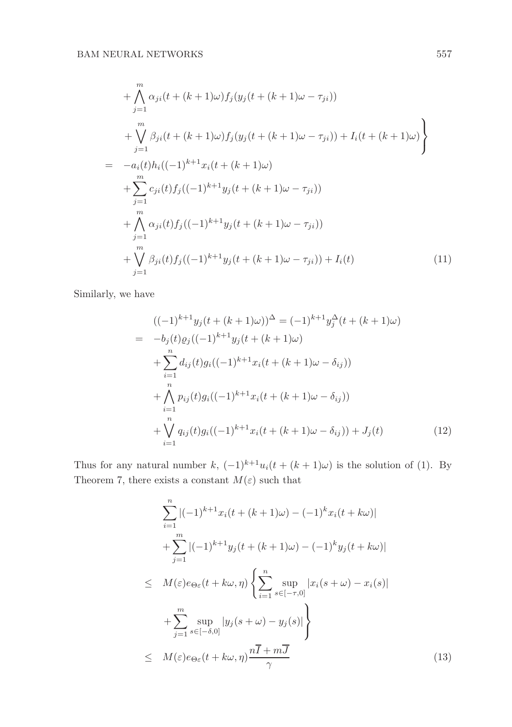+ 
$$
\bigwedge_{j=1}^{m} \alpha_{ji}(t + (k+1)\omega) f_j(y_j(t + (k+1)\omega - \tau_{ji}))
$$
  
+  $\bigvee_{j=1}^{m} \beta_{ji}(t + (k+1)\omega) f_j(y_j(t + (k+1)\omega - \tau_{ji})) + I_i(t + (k+1)\omega)$   
=  $-a_i(t)h_i((-1)^{k+1}x_i(t + (k+1)\omega)$   
+  $\sum_{j=1}^{m} c_{ji}(t) f_j((-1)^{k+1}y_j(t + (k+1)\omega - \tau_{ji}))$   
+  $\bigwedge_{j=1}^{m} \alpha_{ji}(t) f_j((-1)^{k+1}y_j(t + (k+1)\omega - \tau_{ji}))$   
+  $\bigvee_{j=1}^{m} \beta_{ji}(t) f_j((-1)^{k+1}y_j(t + (k+1)\omega - \tau_{ji})) + I_i(t)$  (11)

Similarly, we have

$$
((-1)^{k+1}y_j(t+(k+1)\omega))^{\Delta} = (-1)^{k+1}y_j^{\Delta}(t+(k+1)\omega)
$$
  
=  $-b_j(t)\varrho_j((-1)^{k+1}y_j(t+(k+1)\omega)$   
+  $\sum_{i=1}^n d_{ij}(t)g_i((-1)^{k+1}x_i(t+(k+1)\omega - \delta_{ij}))$   
+  $\bigwedge_{i=1}^n p_{ij}(t)g_i((-1)^{k+1}x_i(t+(k+1)\omega - \delta_{ij}))$   
+  $\bigvee_{i=1}^n q_{ij}(t)g_i((-1)^{k+1}x_i(t+(k+1)\omega - \delta_{ij})) + J_j(t)$  (12)

Thus for any natural number k,  $(-1)^{k+1}u_i(t + (k+1)\omega)$  is the solution of (1). By Theorem 7, there exists a constant  $M(\varepsilon)$  such that

$$
\sum_{i=1}^{n} |(-1)^{k+1}x_i(t + (k+1)\omega) - (-1)^k x_i(t + k\omega)|
$$
  
+ 
$$
\sum_{j=1}^{m} |(-1)^{k+1}y_j(t + (k+1)\omega) - (-1)^k y_j(t + k\omega)|
$$
  

$$
\leq M(\varepsilon)e_{\Theta\varepsilon}(t + k\omega, \eta) \left\{ \sum_{i=1}^{n} \sup_{s \in [-\tau, 0]} |x_i(s + \omega) - x_i(s)| + \sum_{j=1}^{m} \sup_{s \in [-\delta, 0]} |y_j(s + \omega) - y_j(s)| \right\}
$$
  

$$
\leq M(\varepsilon)e_{\Theta\varepsilon}(t + k\omega, \eta) \frac{n\overline{I} + m\overline{J}}{\gamma}
$$
(13)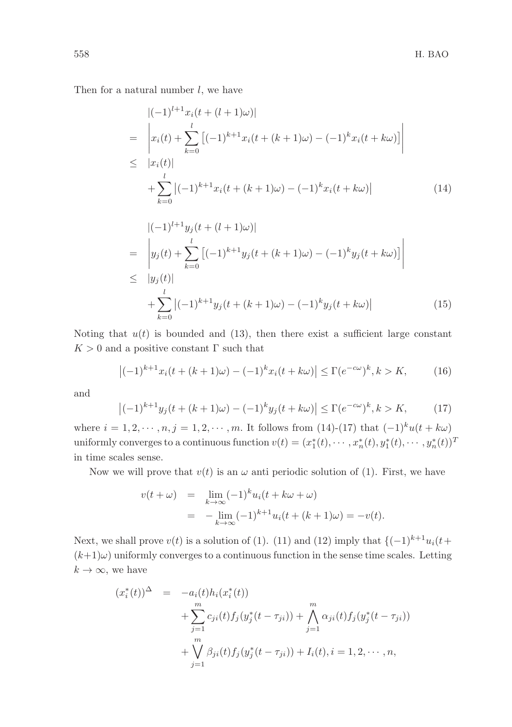Then for a natural number  $l$ , we have

$$
\begin{aligned}\n|(-1)^{l+1}x_i(t+(l+1)\omega)| \\
&= \left|x_i(t) + \sum_{k=0}^l [(-1)^{k+1}x_i(t+(k+1)\omega) - (-1)^kx_i(t+k\omega)]\right| \\
&\leq |x_i(t)| \\
&+ \sum_{k=0}^l |(-1)^{k+1}x_i(t+(k+1)\omega) - (-1)^kx_i(t+k\omega)|\n\end{aligned}
$$
\n(14)

$$
\begin{aligned}\n|(-1)^{l+1}y_j(t+(l+1)\omega)| \\
&= \left| y_j(t) + \sum_{k=0}^{l} [(-1)^{k+1}y_j(t+(k+1)\omega) - (-1)^k y_j(t+k\omega)] \right| \\
&\leq |y_j(t)| \\
&+ \sum_{k=0}^{l} |(-1)^{k+1}y_j(t+(k+1)\omega) - (-1)^k y_j(t+k\omega)|\n\end{aligned}
$$
\n(15)

Noting that  $u(t)$  is bounded and (13), then there exist a sufficient large constant  $K > 0$  and a positive constant Γ such that

$$
|(-1)^{k+1}x_i(t+(k+1)\omega) - (-1)^kx_i(t+k\omega)| \le \Gamma(e^{-c\omega})^k, k > K,
$$
 (16)

and

$$
|(-1)^{k+1}y_j(t+(k+1)\omega) - (-1)^k y_j(t+k\omega)| \le \Gamma(e^{-c\omega})^k, k > K,
$$
 (17)

where  $i = 1, 2, \dots, n, j = 1, 2, \dots, m$ . It follows from (14)-(17) that  $(-1)^{k}u(t + k\omega)$ uniformly converges to a continuous function  $v(t) = (x_1^*(t), \dots, x_n^*(t), y_1^*(t), \dots, y_n^*(t))^T$ in time scales sense.

Now we will prove that  $v(t)$  is an  $\omega$  anti periodic solution of (1). First, we have

$$
v(t + \omega) = \lim_{k \to \infty} (-1)^k u_i(t + k\omega + \omega)
$$
  
= 
$$
-\lim_{k \to \infty} (-1)^{k+1} u_i(t + (k+1)\omega) = -v(t).
$$

Next, we shall prove  $v(t)$  is a solution of (1). (11) and (12) imply that  $\{(-1)^{k+1}u_i(t+1)\}$  $(k+1)\omega$ ) uniformly converges to a continuous function in the sense time scales. Letting  $k \to \infty$ , we have

$$
(x_i^*(t))^{\Delta} = -a_i(t)h_i(x_i^*(t))
$$
  
+ 
$$
\sum_{j=1}^m c_{ji}(t)f_j(y_j^*(t - \tau_{ji})) + \bigwedge_{j=1}^m \alpha_{ji}(t)f_j(y_j^*(t - \tau_{ji}))
$$
  
+ 
$$
\bigvee_{j=1}^m \beta_{ji}(t)f_j(y_j^*(t - \tau_{ji})) + I_i(t), i = 1, 2, \cdots, n,
$$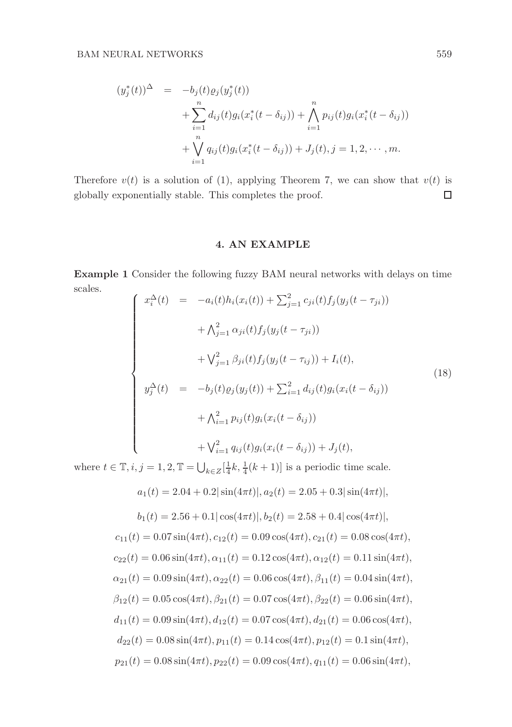$$
(y_j^*(t))^{\Delta} = -b_j(t)\varrho_j(y_j^*(t))
$$
  
+ 
$$
\sum_{i=1}^n d_{ij}(t)g_i(x_i^*(t - \delta_{ij})) + \bigwedge_{i=1}^n p_{ij}(t)g_i(x_i^*(t - \delta_{ij}))
$$
  
+ 
$$
\bigvee_{i=1}^n q_{ij}(t)g_i(x_i^*(t - \delta_{ij})) + J_j(t), j = 1, 2, \cdots, m.
$$

Therefore  $v(t)$  is a solution of (1), applying Theorem 7, we can show that  $v(t)$  is  $\Box$ globally exponentially stable. This completes the proof.

## 4. AN EXAMPLE

Example 1 Consider the following fuzzy BAM neural networks with delays on time scales.  $\overline{a}$ 

$$
\begin{cases}\nx_i^{\Delta}(t) = -a_i(t)h_i(x_i(t)) + \sum_{j=1}^2 c_{ji}(t)f_j(y_j(t - \tau_{ji})) \\
+ \Lambda_{j=1}^2 \alpha_{ji}(t)f_j(y_j(t - \tau_{ji})) \\
+ \nabla_{j=1}^2 \beta_{ji}(t)f_j(y_j(t - \tau_{ij})) + I_i(t), \\
y_j^{\Delta}(t) = -b_j(t)\varrho_j(y_j(t)) + \sum_{i=1}^2 d_{ij}(t)g_i(x_i(t - \delta_{ij})) \\
+ \Lambda_{i=1}^2 p_{ij}(t)g_i(x_i(t - \delta_{ij})) + \nabla_{i=1}^2 q_{ij}(t)g_i(x_i(t - \delta_{ij})) + J_j(t),\n\end{cases} \tag{18}
$$

where  $t \in \mathbb{T}$ ,  $i, j = 1, 2, \mathbb{T} = \bigcup_{k \in \mathbb{Z}} \left[\frac{1}{4}k, \frac{1}{4}(k+1)\right]$  is a periodic time scale.

$$
a_1(t) = 2.04 + 0.2|\sin(4\pi t)|, a_2(t) = 2.05 + 0.3|\sin(4\pi t)|,
$$
  
\n
$$
b_1(t) = 2.56 + 0.1|\cos(4\pi t)|, b_2(t) = 2.58 + 0.4|\cos(4\pi t)|,
$$
  
\n
$$
c_{11}(t) = 0.07\sin(4\pi t), c_{12}(t) = 0.09\cos(4\pi t), c_{21}(t) = 0.08\cos(4\pi t),
$$
  
\n
$$
c_{22}(t) = 0.06\sin(4\pi t), \alpha_{11}(t) = 0.12\cos(4\pi t), \alpha_{12}(t) = 0.11\sin(4\pi t),
$$
  
\n
$$
\alpha_{21}(t) = 0.09\sin(4\pi t), \alpha_{22}(t) = 0.06\cos(4\pi t), \beta_{11}(t) = 0.04\sin(4\pi t),
$$
  
\n
$$
\beta_{12}(t) = 0.05\cos(4\pi t), \beta_{21}(t) = 0.07\cos(4\pi t), \beta_{22}(t) = 0.06\sin(4\pi t),
$$
  
\n
$$
d_{11}(t) = 0.09\sin(4\pi t), d_{12}(t) = 0.07\cos(4\pi t), d_{21}(t) = 0.06\cos(4\pi t),
$$
  
\n
$$
d_{22}(t) = 0.08\sin(4\pi t), p_{11}(t) = 0.14\cos(4\pi t), p_{12}(t) = 0.1\sin(4\pi t),
$$
  
\n
$$
p_{21}(t) = 0.08\sin(4\pi t), p_{22}(t) = 0.09\cos(4\pi t), q_{11}(t) = 0.06\sin(4\pi t),
$$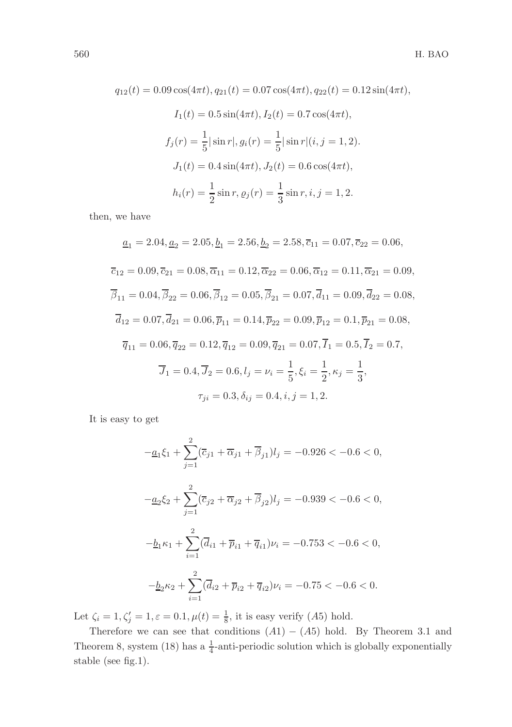$$
q_{12}(t) = 0.09 \cos(4\pi t), q_{21}(t) = 0.07 \cos(4\pi t), q_{22}(t) = 0.12 \sin(4\pi t),
$$
  
\n
$$
I_1(t) = 0.5 \sin(4\pi t), I_2(t) = 0.7 \cos(4\pi t),
$$
  
\n
$$
f_j(r) = \frac{1}{5} |\sin r|, g_i(r) = \frac{1}{5} |\sin r|(i, j = 1, 2).
$$
  
\n
$$
J_1(t) = 0.4 \sin(4\pi t), J_2(t) = 0.6 \cos(4\pi t),
$$
  
\n
$$
h_i(r) = \frac{1}{2} \sin r, \varrho_j(r) = \frac{1}{3} \sin r, i, j = 1, 2.
$$

then, we have

$$
\underline{a}_1 = 2.04, \underline{a}_2 = 2.05, \underline{b}_1 = 2.56, \underline{b}_2 = 2.58, \overline{c}_{11} = 0.07, \overline{c}_{22} = 0.06,
$$
  
\n
$$
\overline{c}_{12} = 0.09, \overline{c}_{21} = 0.08, \overline{\alpha}_{11} = 0.12, \overline{\alpha}_{22} = 0.06, \overline{\alpha}_{12} = 0.11, \overline{\alpha}_{21} = 0.09,
$$
  
\n
$$
\overline{\beta}_{11} = 0.04, \overline{\beta}_{22} = 0.06, \overline{\beta}_{12} = 0.05, \overline{\beta}_{21} = 0.07, \overline{d}_{11} = 0.09, \overline{d}_{22} = 0.08,
$$
  
\n
$$
\overline{d}_{12} = 0.07, \overline{d}_{21} = 0.06, \overline{p}_{11} = 0.14, \overline{p}_{22} = 0.09, \overline{p}_{12} = 0.1, \overline{p}_{21} = 0.08,
$$
  
\n
$$
\overline{q}_{11} = 0.06, \overline{q}_{22} = 0.12, \overline{q}_{12} = 0.09, \overline{q}_{21} = 0.07, \overline{I}_1 = 0.5, \overline{I}_2 = 0.7,
$$
  
\n
$$
\overline{J}_1 = 0.4, \overline{J}_2 = 0.6, l_j = \nu_i = \frac{1}{5}, \xi_i = \frac{1}{2}, \kappa_j = \frac{1}{3},
$$
  
\n
$$
\tau_{ji} = 0.3, \delta_{ij} = 0.4, i, j = 1, 2.
$$

It is easy to get

$$
-\underline{a}_1 \xi_1 + \sum_{j=1}^2 (\overline{c}_{j1} + \overline{\alpha}_{j1} + \overline{\beta}_{j1}) l_j = -0.926 < -0.6 < 0,
$$
  

$$
-\underline{a}_2 \xi_2 + \sum_{j=1}^2 (\overline{c}_{j2} + \overline{\alpha}_{j2} + \overline{\beta}_{j2}) l_j = -0.939 < -0.6 < 0,
$$
  

$$
-\underline{b}_1 \kappa_1 + \sum_{i=1}^2 (\overline{d}_{i1} + \overline{p}_{i1} + \overline{q}_{i1}) \nu_i = -0.753 < -0.6 < 0,
$$
  

$$
-\underline{b}_2 \kappa_2 + \sum_{i=1}^2 (\overline{d}_{i2} + \overline{p}_{i2} + \overline{q}_{i2}) \nu_i = -0.75 < -0.6 < 0.
$$

Let  $\zeta_i = 1, \zeta_j' = 1, \varepsilon = 0.1, \mu(t) = \frac{1}{8}$ , it is easy verify (A5) hold.

Therefore we can see that conditions  $(A1) - (A5)$  hold. By Theorem 3.1 and Theorem 8, system (18) has a  $\frac{1}{4}$ -anti-periodic solution which is globally exponentially stable (see fig.1).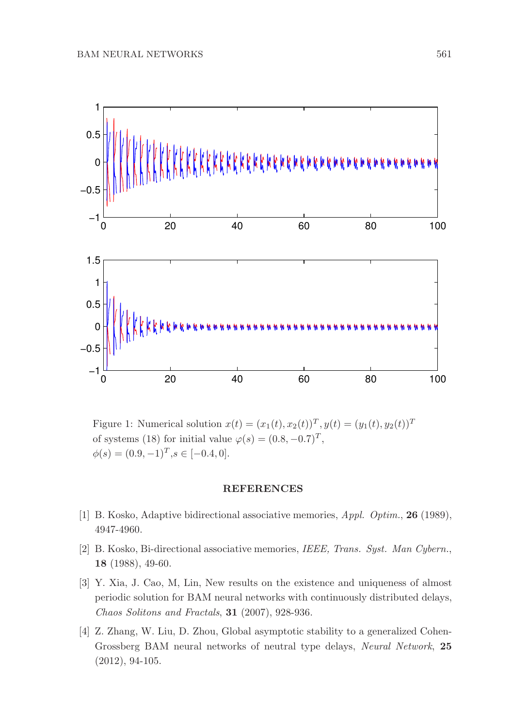

Figure 1: Numerical solution  $x(t) = (x_1(t), x_2(t))^T, y(t) = (y_1(t), y_2(t))^T$ of systems (18) for initial value  $\varphi(s) = (0.8, -0.7)^T$ ,  $\phi(s) = (0.9, -1)^T, s \in [-0.4, 0].$ 

## REFERENCES

- [1] B. Kosko, Adaptive bidirectional associative memories, *Appl. Optim.*, 26 (1989), 4947-4960.
- [2] B. Kosko, Bi-directional associative memories, *IEEE, Trans. Syst. Man Cybern.*, 18 (1988), 49-60.
- [3] Y. Xia, J. Cao, M, Lin, New results on the existence and uniqueness of almost periodic solution for BAM neural networks with continuously distributed delays, *Chaos Solitons and Fractals*, 31 (2007), 928-936.
- [4] Z. Zhang, W. Liu, D. Zhou, Global asymptotic stability to a generalized Cohen-Grossberg BAM neural networks of neutral type delays, *Neural Network*, 25 (2012), 94-105.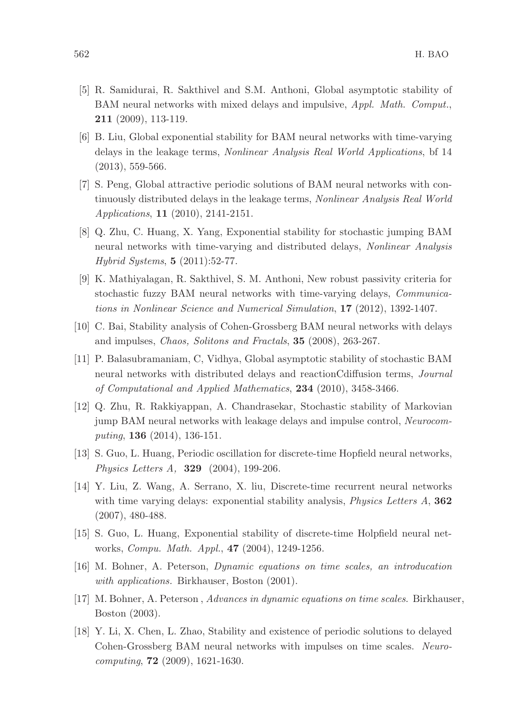- [5] R. Samidurai, R. Sakthivel and S.M. Anthoni, Global asymptotic stability of BAM neural networks with mixed delays and impulsive, *Appl. Math. Comput.*, 211 (2009), 113-119.
- [6] B. Liu, Global exponential stability for BAM neural networks with time-varying delays in the leakage terms, *Nonlinear Analysis Real World Applications*, bf 14 (2013), 559-566.
- [7] S. Peng, Global attractive periodic solutions of BAM neural networks with continuously distributed delays in the leakage terms, *Nonlinear Analysis Real World Applications*, 11 (2010), 2141-2151.
- [8] Q. Zhu, C. Huang, X. Yang, Exponential stability for stochastic jumping BAM neural networks with time-varying and distributed delays, *Nonlinear Analysis Hybrid Systems*, 5 (2011):52-77.
- [9] K. Mathiyalagan, R. Sakthivel, S. M. Anthoni, New robust passivity criteria for stochastic fuzzy BAM neural networks with time-varying delays, *Communications in Nonlinear Science and Numerical Simulation*, 17 (2012), 1392-1407.
- [10] C. Bai, Stability analysis of Cohen-Grossberg BAM neural networks with delays and impulses, *Chaos, Solitons and Fractals*, 35 (2008), 263-267.
- [11] P. Balasubramaniam, C, Vidhya, Global asymptotic stability of stochastic BAM neural networks with distributed delays and reactionCdiffusion terms, *Journal of Computational and Applied Mathematics*, 234 (2010), 3458-3466.
- [12] Q. Zhu, R. Rakkiyappan, A. Chandrasekar, Stochastic stability of Markovian jump BAM neural networks with leakage delays and impulse control, *Neurocomputing*, 136 (2014), 136-151.
- [13] S. Guo, L. Huang, Periodic oscillation for discrete-time Hopfield neural networks, *Physics Letters A,* 329 (2004), 199-206.
- [14] Y. Liu, Z. Wang, A. Serrano, X. liu, Discrete-time recurrent neural networks with time varying delays: exponential stability analysis, *Physics Letters A*, 362 (2007), 480-488.
- [15] S. Guo, L. Huang, Exponential stability of discrete-time Holpfield neural networks, *Compu. Math. Appl.*, 47 (2004), 1249-1256.
- [16] M. Bohner, A. Peterson, *Dynamic equations on time scales, an introducation with applications.* Birkhauser, Boston (2001).
- [17] M. Bohner, A. Peterson , *Advances in dynamic equations on time scales*. Birkhauser, Boston (2003).
- [18] Y. Li, X. Chen, L. Zhao, Stability and existence of periodic solutions to delayed Cohen-Grossberg BAM neural networks with impulses on time scales. *Neurocomputing*, 72 (2009), 1621-1630.